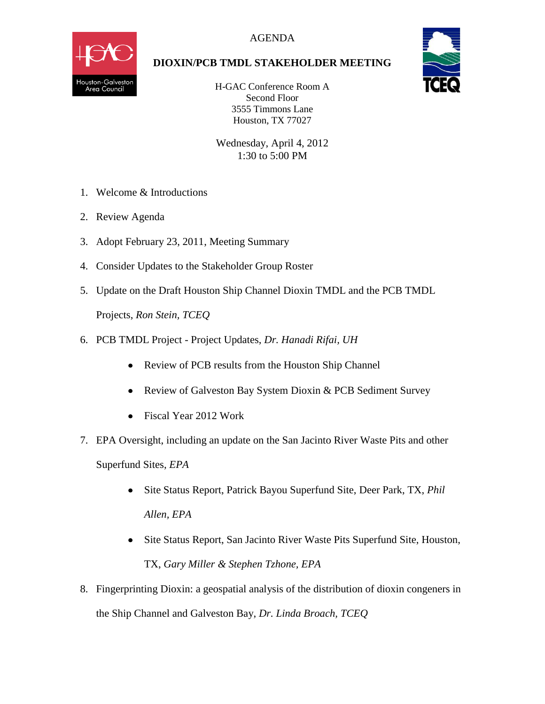

## **DIOXIN/PCB TMDL STAKEHOLDER MEETING**

H-GAC Conference Room A Second Floor 3555 Timmons Lane Houston, TX 77027

Wednesday, April 4, 2012 1:30 to 5:00 PM

- 1. Welcome & Introductions
- 2. Review Agenda
- 3. Adopt February 23, 2011, Meeting Summary
- 4. Consider Updates to the Stakeholder Group Roster
- 5. Update on the Draft Houston Ship Channel Dioxin TMDL and the PCB TMDL Projects, *Ron Stein, TCEQ*
- 6. PCB TMDL Project Project Updates, *Dr. Hanadi Rifai, UH*
	- Review of PCB results from the Houston Ship Channel
	- $\bullet$ Review of Galveston Bay System Dioxin & PCB Sediment Survey
	- Fiscal Year 2012 Work
- 7. EPA Oversight, including an update on the San Jacinto River Waste Pits and other Superfund Sites, *EPA* 
	- Site Status Report, Patrick Bayou Superfund Site, Deer Park, TX, *Phil Allen, EPA*
	- Site Status Report, San Jacinto River Waste Pits Superfund Site, Houston, TX, *Gary Miller & Stephen Tzhone, EPA*
- 8. Fingerprinting Dioxin: a geospatial analysis of the distribution of dioxin congeners in the Ship Channel and Galveston Bay, *Dr. Linda Broach, TCEQ*